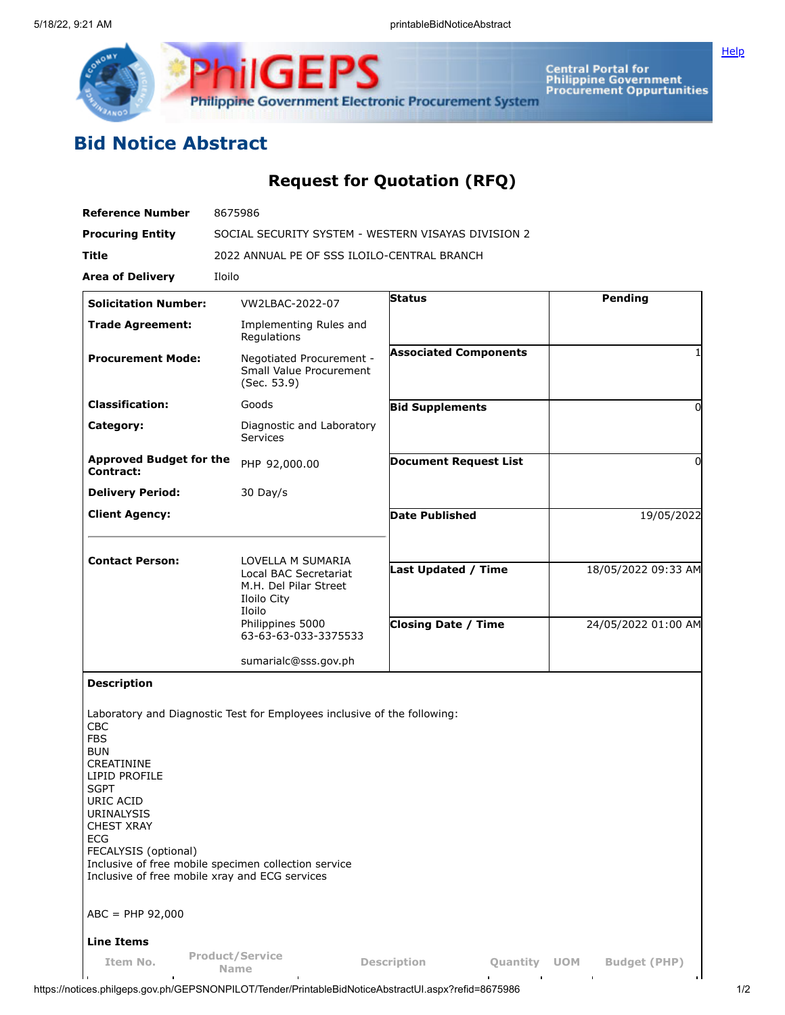

Central Portal for<br>Philippine Government<br>Procurement Oppurtunities Philippine Government Electronic Procurement System

## **Bid Notice Abstract**

## **Request for Quotation (RFQ)**

**ilGEPS** 

| <b>Reference Number</b>                                                                                                                                                                                                                                                                       | 8675986                                                                                                                                  |                                |                                   |  |  |  |  |  |
|-----------------------------------------------------------------------------------------------------------------------------------------------------------------------------------------------------------------------------------------------------------------------------------------------|------------------------------------------------------------------------------------------------------------------------------------------|--------------------------------|-----------------------------------|--|--|--|--|--|
| <b>Procuring Entity</b>                                                                                                                                                                                                                                                                       | SOCIAL SECURITY SYSTEM - WESTERN VISAYAS DIVISION 2                                                                                      |                                |                                   |  |  |  |  |  |
| Title                                                                                                                                                                                                                                                                                         | 2022 ANNUAL PE OF SSS ILOILO-CENTRAL BRANCH                                                                                              |                                |                                   |  |  |  |  |  |
| <b>Area of Delivery</b>                                                                                                                                                                                                                                                                       | Iloilo                                                                                                                                   |                                |                                   |  |  |  |  |  |
| <b>Solicitation Number:</b>                                                                                                                                                                                                                                                                   | VW2LBAC-2022-07                                                                                                                          | Status                         | Pending                           |  |  |  |  |  |
| <b>Trade Agreement:</b>                                                                                                                                                                                                                                                                       | Implementing Rules and<br>Regulations                                                                                                    |                                |                                   |  |  |  |  |  |
| <b>Procurement Mode:</b>                                                                                                                                                                                                                                                                      | Negotiated Procurement -<br>Small Value Procurement<br>(Sec. 53.9)                                                                       | <b>Associated Components</b>   |                                   |  |  |  |  |  |
| <b>Classification:</b>                                                                                                                                                                                                                                                                        | Goods                                                                                                                                    | <b>Bid Supplements</b>         | $\Omega$                          |  |  |  |  |  |
| Category:                                                                                                                                                                                                                                                                                     | Diagnostic and Laboratory<br><b>Services</b>                                                                                             |                                |                                   |  |  |  |  |  |
| <b>Approved Budget for the</b><br>Contract:                                                                                                                                                                                                                                                   | PHP 92,000.00                                                                                                                            | <b>Document Request List</b>   | 0                                 |  |  |  |  |  |
| <b>Delivery Period:</b>                                                                                                                                                                                                                                                                       | 30 Day/s                                                                                                                                 |                                |                                   |  |  |  |  |  |
| <b>Client Agency:</b>                                                                                                                                                                                                                                                                         |                                                                                                                                          | <b>Date Published</b>          | 19/05/2022                        |  |  |  |  |  |
|                                                                                                                                                                                                                                                                                               |                                                                                                                                          |                                |                                   |  |  |  |  |  |
| <b>Contact Person:</b>                                                                                                                                                                                                                                                                        | LOVELLA M SUMARIA<br>Local BAC Secretariat<br>M.H. Del Pilar Street<br>Iloilo City<br>Iloilo<br>Philippines 5000<br>63-63-63-033-3375533 | <b>Last Updated / Time</b>     | 18/05/2022 09:33 AM               |  |  |  |  |  |
|                                                                                                                                                                                                                                                                                               |                                                                                                                                          | <b>Closing Date / Time</b>     | 24/05/2022 01:00 AM               |  |  |  |  |  |
|                                                                                                                                                                                                                                                                                               | sumarialc@sss.gov.ph                                                                                                                     |                                |                                   |  |  |  |  |  |
| <b>Description</b><br><b>CBC</b><br><b>FBS</b><br><b>BUN</b><br>CREATININE<br>LIPID PROFILE<br><b>SGPT</b><br>URIC ACID<br>URINALYSIS<br><b>CHEST XRAY</b><br><b>ECG</b><br>FECALYSIS (optional)<br>Inclusive of free mobile xray and ECG services<br>$ABC = PHP 92,000$<br><b>Line Items</b> | Laboratory and Diagnostic Test for Employees inclusive of the following:<br>Inclusive of free mobile specimen collection service         |                                |                                   |  |  |  |  |  |
| Item No.                                                                                                                                                                                                                                                                                      | <b>Product/Service</b><br><b>Name</b>                                                                                                    | <b>Description</b><br>Quantity | <b>Budget (PHP)</b><br><b>UOM</b> |  |  |  |  |  |